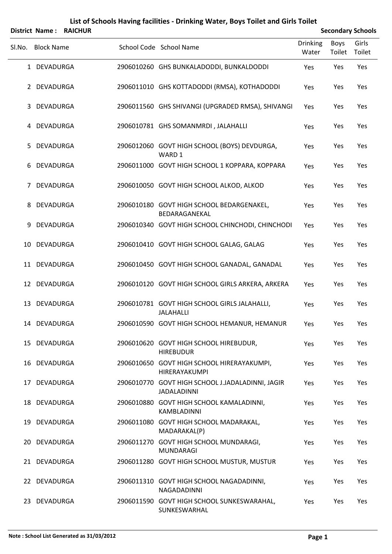## SLNo. Block Name School Code School Name Drinking Water Boys Toilet Girls Toilet **District Name : RAICHUR Secondary** Schools 1 DEVADURGA 2906010260 GHS BUNKALADODDI, BUNKALDODDI Yes Yes Yes 2 DEVADURGA 2906011010 GHS KOTTADODDI (RMSA), KOTHADODDI Yes Yes Yes 3 DEVADURGA 2906011560 GHS SHIVANGI (UPGRADED RMSA), SHIVANGI Yes Yes Yes 4 DEVADURGA 2906010781 GHS SOMANMRDI , JALAHALLI Yes Yes Yes DEVADURGA 2906012060 GOVT HIGH SCHOOL (BOYS) DEVDURGA, 5 Yes Yes Yes WARD 1 6 DEVADURGA 2906011000 GOVT HIGH SCHOOL 1 KOPPARA, KOPPARA Yes Yes Yes 7 DEVADURGA 2906010050 GOVT HIGH SCHOOL ALKOD, ALKOD Yes Yes Yes DEVADURGA 2906010180 GOVT HIGH SCHOOL BEDARGENAKEL, 8 Yes Yes Yes BEDARAGANEKAL 9 DEVADURGA 2906010340 GOVT HIGH SCHOOL CHINCHODI, CHINCHODI Yes Yes Yes 10 DEVADURGA 2906010410 GOVT HIGH SCHOOL GALAG, GALAG Yes Yes Yes 11 DEVADURGA 2906010450 GOVT HIGH SCHOOL GANADAL, GANADAL Yes Yes Yes 12 DEVADURGA 2906010120 GOVT HIGH SCHOOL GIRLS ARKERA, ARKERA Yes Yes Yes DEVADURGA 2906010781 GOVT HIGH SCHOOL GIRLS JALAHALLI, 13 Yes Yes Yes JALAHALLI 14 DEVADURGA 2906010590 GOVT HIGH SCHOOL HEMANUR, HEMANUR Yes Yes Yes DEVADURGA 2906010620 GOVT HIGH SCHOOL HIREBUDUR, 15 Yes Yes Yes HIREBUDUR DEVADURGA 2906010650 GOVT HIGH SCHOOL HIRERAYAKUMPI, 16 Yes Yes Yes HIRERAYAKUMPI DEVADURGA 2906010770 GOVT HIGH SCHOOL J.JADALADINNI, JAGIR 17 Yes Yes Yes JADALADINNI DEVADURGA 2906010880 GOVT HIGH SCHOOL KAMALADINNI, 18 Yes Yes Yes KAMBLADINNI DEVADURGA 2906011080 GOVT HIGH SCHOOL MADARAKAL, 19 Yes Yes Yes MADARAKAL(P) DEVADURGA 2906011270 GOVT HIGH SCHOOL MUNDARAGI, 20 Yes Yes Yes MUNDARAGI 21 DEVADURGA 2906011280 GOVT HIGH SCHOOL MUSTUR, MUSTUR Yes Yes Yes DEVADURGA 2906011310 GOVT HIGH SCHOOL NAGADADINNI, 22 Yes Yes Yes NAGADADINNI DEVADURGA 2906011590 GOVT HIGH SCHOOL SUNKESWARAHAL, 23 Yes Yes Yes

SUNKESWARHAL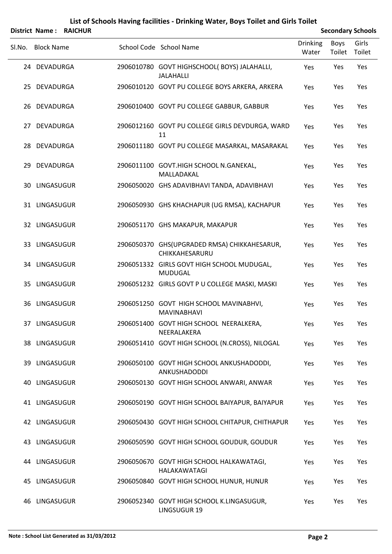# SLNo. Block Name School Code School Name Drinking Water Boys Toilet Girls Toilet **District Name : RAICHUR Secondary** Schools DEVADURGA 2906010780 GOVT HIGHSCHOOL( BOYS) JALAHALLI, 24 Yes Yes Yes JALAHALLI 25 DEVADURGA 2906010120 GOVT PU COLLEGE BOYS ARKERA, ARKERA Yes Yes Yes 26 DEVADURGA 2906010400 GOVT PU COLLEGE GABBUR, GABBUR Yes Yes Yes DEVADURGA 2906012160 GOVT PU COLLEGE GIRLS DEVDURGA, WARD 27 Yes Yes Yes 11 28 DEVADURGA 2906011180 GOVT PU COLLEGE MASARKAL, MASARAKAL Yes Yes Yes DEVADURGA 2906011100 GOVT.HIGH SCHOOL N.GANEKAL, 29 Yes Yes Yes MALLADAKAL 30 LINGASUGUR 2906050020 GHS ADAVIBHAVI TANDA, ADAVIBHAVI Yes Yes Yes 31 LINGASUGUR 2906050930 GHS KHACHAPUR (UG RMSA), KACHAPUR Yes Yes Yes 32 LINGASUGUR 2906051170 GHS MAKAPUR, MAKAPUR Yes Yes Yes LINGASUGUR 2906050370 GHS(UPGRADED RMSA) CHIKKAHESARUR, 33 Yes Yes Yes CHIKKAHESARURU LINGASUGUR 2906051332 GIRLS GOVT HIGH SCHOOL MUDUGAL, 34 Yes Yes Yes MUDUGAL 35 LINGASUGUR 2906051232 GIRLS GOVT P U COLLEGE MASKI, MASKI Yes Yes Yes LINGASUGUR 2906051250 GOVT HIGH SCHOOL MAVINABHVI, 36 Yes Yes Yes MAVINABHAVI LINGASUGUR 2906051400 GOVT HIGH SCHOOL NEERALKERA, 37 Yes Yes Yes NEERALAKERA 38 LINGASUGUR 2906051410 GOVT HIGH SCHOOL (N.CROSS), NILOGAL Yes Yes Yes 39 LINGASUGUR 2906050100 GOVT HIGH SCHOOL ANKUSHADODDI, Yes Yes Yes ANKUSHADODDI 40 LINGASUGUR 2906050130 GOVT HIGH SCHOOL ANWARI, ANWAR Yes Yes Yes 41 LINGASUGUR 2906050190 GOVT HIGH SCHOOL BAIYAPUR, BAIYAPUR Yes Yes Yes 42 LINGASUGUR 2906050430 GOVT HIGH SCHOOL CHITAPUR, CHITHAPUR Yes Yes Yes 43 LINGASUGUR 2906050590 GOVT HIGH SCHOOL GOUDUR, GOUDUR Yes Yes Yes LINGASUGUR 2906050670 GOVT HIGH SCHOOL HALKAWATAGI, 44 Yes Yes Yes HALAKAWATAGI 45 LINGASUGUR 2906050840 GOVT HIGH SCHOOL HUNUR, HUNUR Yes Yes Yes LINGASUGUR 2906052340 GOVT HIGH SCHOOL K.LINGASUGUR, 46 Yes Yes Yes

LINGSUGUR 19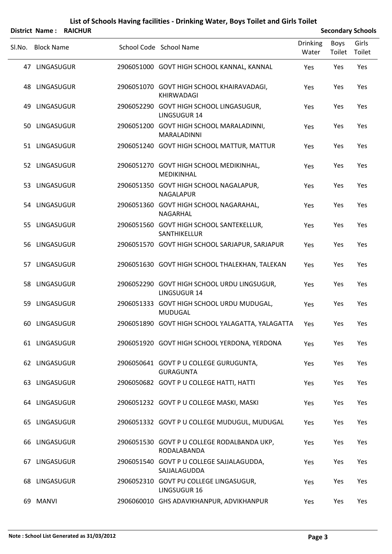|        |                   | District Name: RAICHUR |                                                                    |                          |                | <b>Secondary Schools</b> |
|--------|-------------------|------------------------|--------------------------------------------------------------------|--------------------------|----------------|--------------------------|
| SI.No. | <b>Block Name</b> |                        | School Code School Name                                            | <b>Drinking</b><br>Water | Boys<br>Toilet | Girls<br>Toilet          |
|        | 47 LINGASUGUR     |                        | 2906051000 GOVT HIGH SCHOOL KANNAL, KANNAL                         | Yes                      | Yes            | Yes                      |
| 48     | LINGASUGUR        |                        | 2906051070 GOVT HIGH SCHOOL KHAIRAVADAGI,<br>KHIRWADAGI            | Yes                      | Yes            | Yes                      |
| 49.    | LINGASUGUR        |                        | 2906052290 GOVT HIGH SCHOOL LINGASUGUR,<br>LINGSUGUR 14            | Yes                      | Yes            | Yes                      |
|        | 50 LINGASUGUR     |                        | 2906051200 GOVT HIGH SCHOOL MARALADINNI,<br>MARALADINNI            | Yes                      | Yes            | Yes                      |
|        | 51 LINGASUGUR     |                        | 2906051240 GOVT HIGH SCHOOL MATTUR, MATTUR                         | Yes                      | Yes            | Yes                      |
|        | 52 LINGASUGUR     |                        | 2906051270 GOVT HIGH SCHOOL MEDIKINHAL,<br><b>MEDIKINHAL</b>       | Yes                      | Yes            | Yes                      |
|        | 53 LINGASUGUR     |                        | 2906051350 GOVT HIGH SCHOOL NAGALAPUR,<br><b>NAGALAPUR</b>         | Yes                      | Yes            | Yes                      |
|        | 54 LINGASUGUR     |                        | 2906051360 GOVT HIGH SCHOOL NAGARAHAL,<br>NAGARHAL                 | Yes                      | Yes            | Yes                      |
|        | 55 LINGASUGUR     |                        | 2906051560 GOVT HIGH SCHOOL SANTEKELLUR,<br>SANTHIKELLUR           | Yes                      | Yes            | Yes                      |
|        | 56 LINGASUGUR     |                        | 2906051570 GOVT HIGH SCHOOL SARJAPUR, SARJAPUR                     | Yes                      | Yes            | Yes                      |
| 57     | LINGASUGUR        |                        | 2906051630 GOVT HIGH SCHOOL THALEKHAN, TALEKAN                     | Yes                      | Yes            | Yes                      |
|        | 58 LINGASUGUR     |                        | 2906052290 GOVT HIGH SCHOOL URDU LINGSUGUR,<br><b>LINGSUGUR 14</b> | Yes                      | Yes            | Yes                      |
| 59.    | LINGASUGUR        |                        | 2906051333 GOVT HIGH SCHOOL URDU MUDUGAL,<br><b>MUDUGAL</b>        | Yes                      | Yes            | Yes                      |
|        | 60 LINGASUGUR     |                        | 2906051890 GOVT HIGH SCHOOL YALAGATTA, YALAGATTA                   | Yes                      | Yes            | Yes                      |
|        | 61 LINGASUGUR     |                        | 2906051920 GOVT HIGH SCHOOL YERDONA, YERDONA                       | Yes                      | Yes            | Yes                      |
|        | 62 LINGASUGUR     |                        | 2906050641 GOVT P U COLLEGE GURUGUNTA,<br><b>GURAGUNTA</b>         | Yes                      | Yes            | Yes                      |
|        | 63 LINGASUGUR     |                        | 2906050682 GOVT P U COLLEGE HATTI, HATTI                           | Yes                      | Yes            | Yes                      |
|        | 64 LINGASUGUR     |                        | 2906051232 GOVT P U COLLEGE MASKI, MASKI                           | Yes                      | Yes            | Yes                      |
|        | 65 LINGASUGUR     |                        | 2906051332 GOVT P U COLLEGE MUDUGUL, MUDUGAL                       | Yes                      | Yes            | Yes                      |
|        | 66 LINGASUGUR     |                        | 2906051530 GOVT P U COLLEGE RODALBANDA UKP,<br>RODALABANDA         | Yes                      | Yes            | Yes                      |
|        | 67 LINGASUGUR     |                        | 2906051540 GOVT P U COLLEGE SAJJALAGUDDA,<br>SAJJALAGUDDA          | Yes                      | Yes            | Yes                      |
|        | 68 LINGASUGUR     |                        | 2906052310 GOVT PU COLLEGE LINGASUGUR,<br><b>LINGSUGUR 16</b>      | Yes                      | Yes            | Yes                      |
|        | 69 MANVI          |                        | 2906060010 GHS ADAVIKHANPUR, ADVIKHANPUR                           | Yes                      | Yes            | Yes                      |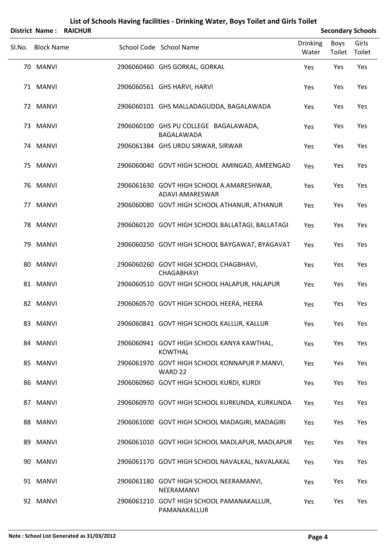|        |                   | <b>District Name: RAICHUR</b> |                                                                     |                          |                | <b>Secondary Schools</b> |
|--------|-------------------|-------------------------------|---------------------------------------------------------------------|--------------------------|----------------|--------------------------|
| SI.No. | <b>Block Name</b> |                               | School Code School Name                                             | <b>Drinking</b><br>Water | Boys<br>Toilet | Girls<br>Toilet          |
|        | 70 MANVI          |                               | 2906060460 GHS GORKAL, GORKAL                                       | Yes                      | Yes            | Yes                      |
|        | 71 MANVI          |                               | 2906060561 GHS HARVI, HARVI                                         | Yes                      | Yes            | Yes                      |
|        | 72 MANVI          |                               | 2906060101 GHS MALLADAGUDDA, BAGALAWADA                             | Yes                      | Yes            | Yes                      |
|        | 73 MANVI          |                               | 2906060100 GHS PU COLLEGE BAGALAWADA,<br>BAGALAWADA                 | Yes                      | Yes            | Yes                      |
|        | 74 MANVI          |                               | 2906061384 GHS URDU SIRWAR, SIRWAR                                  | Yes                      | Yes            | Yes                      |
|        | 75 MANVI          |                               | 2906060040 GOVT HIGH SCHOOL AMINGAD, AMEENGAD                       | Yes                      | Yes            | Yes                      |
|        | 76 MANVI          |                               | 2906061630 GOVT HIGH SCHOOL A.AMARESHWAR,<br><b>ADAVI AMARESWAR</b> | Yes                      | Yes            | Yes                      |
|        | 77 MANVI          |                               | 2906060080 GOVT HIGH SCHOOL ATHANUR, ATHANUR                        | Yes                      | Yes            | Yes                      |
|        | 78 MANVI          |                               | 2906060120 GOVT HIGH SCHOOL BALLATAGI, BALLATAGI                    | Yes                      | Yes            | Yes                      |
|        | 79 MANVI          |                               | 2906060250 GOVT HIGH SCHOOL BAYGAWAT, BYAGAVAT                      | Yes                      | Yes            | Yes                      |
|        | 80 MANVI          |                               | 2906060260 GOVT HIGH SCHOOL CHAGBHAVI,<br>CHAGABHAVI                | Yes                      | Yes            | Yes                      |
|        | 81 MANVI          |                               | 2906060510 GOVT HIGH SCHOOL HALAPUR, HALAPUR                        | Yes                      | Yes            | Yes                      |
|        | 82 MANVI          |                               | 2906060570 GOVT HIGH SCHOOL HEERA, HEERA                            | Yes                      | Yes            | Yes                      |
|        | 83 MANVI          |                               | 2906060841 GOVT HIGH SCHOOL KALLUR, KALLUR                          | Yes                      | Yes            | Yes                      |
|        | 84 MANVI          |                               | 2906060941 GOVT HIGH SCHOOL KANYA KAWTHAL,<br><b>KOWTHAL</b>        | Yes                      | Yes            | Yes                      |
|        | 85 MANVI          |                               | 2906061970 GOVT HIGH SCHOOL KONNAPUR P.MANVI,<br>WARD 22            | Yes                      | Yes            | Yes                      |
|        | 86 MANVI          |                               | 2906060960 GOVT HIGH SCHOOL KURDI, KURDI                            | Yes                      | Yes            | Yes                      |
|        | 87 MANVI          |                               | 2906060970 GOVT HIGH SCHOOL KURKUNDA, KURKUNDA                      | Yes                      | Yes            | Yes                      |
|        | 88 MANVI          |                               | 2906061000 GOVT HIGH SCHOOL MADAGIRI, MADAGIRI                      | Yes                      | Yes            | Yes                      |
|        | 89 MANVI          |                               | 2906061010 GOVT HIGH SCHOOL MADLAPUR, MADLAPUR                      | Yes                      | Yes            | Yes                      |
|        | 90 MANVI          |                               | 2906061170 GOVT HIGH SCHOOL NAVALKAL, NAVALAKAL                     | Yes                      | Yes            | Yes                      |
|        | 91 MANVI          |                               | 2906061180 GOVT HIGH SCHOOL NEERAMANVI,<br>NEERAMANVI               | Yes                      | Yes            | Yes                      |
|        | 92 MANVI          |                               | 2906061210 GOVT HIGH SCHOOL PAMANAKALLUR,<br>PAMANAKALLUR           | Yes                      | Yes            | Yes                      |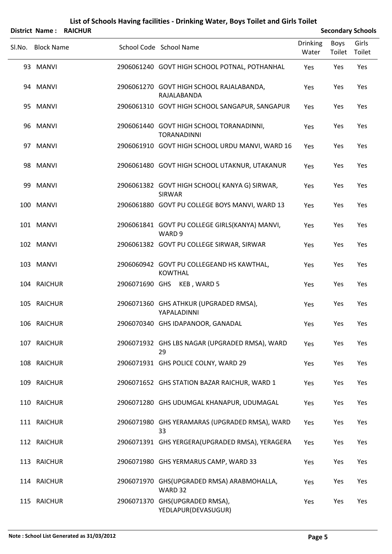|        |                   | <b>District Name: RAICHUR</b> |                                                                |                          |                | <b>Secondary Schools</b> |
|--------|-------------------|-------------------------------|----------------------------------------------------------------|--------------------------|----------------|--------------------------|
| SI.No. | <b>Block Name</b> |                               | School Code School Name                                        | <b>Drinking</b><br>Water | Boys<br>Toilet | Girls<br>Toilet          |
|        | 93 MANVI          |                               | 2906061240 GOVT HIGH SCHOOL POTNAL, POTHANHAL                  | Yes                      | Yes            | Yes                      |
|        | 94 MANVI          |                               | 2906061270 GOVT HIGH SCHOOL RAJALABANDA,<br>RAJALABANDA        | Yes                      | Yes            | Yes                      |
|        | 95 MANVI          |                               | 2906061310 GOVT HIGH SCHOOL SANGAPUR, SANGAPUR                 | Yes                      | Yes            | Yes                      |
|        | 96 MANVI          |                               | 2906061440 GOVT HIGH SCHOOL TORANADINNI,<br><b>TORANADINNI</b> | Yes                      | Yes            | Yes                      |
|        | 97 MANVI          |                               | 2906061910 GOVT HIGH SCHOOL URDU MANVI, WARD 16                | Yes                      | Yes            | Yes                      |
|        | 98 MANVI          |                               | 2906061480 GOVT HIGH SCHOOL UTAKNUR, UTAKANUR                  | Yes                      | Yes            | Yes                      |
|        | 99 MANVI          |                               | 2906061382 GOVT HIGH SCHOOL(KANYA G) SIRWAR,<br><b>SIRWAR</b>  | Yes                      | Yes            | Yes                      |
|        | 100 MANVI         |                               | 2906061880 GOVT PU COLLEGE BOYS MANVI, WARD 13                 | Yes                      | Yes            | Yes                      |
|        | 101 MANVI         |                               | 2906061841 GOVT PU COLLEGE GIRLS(KANYA) MANVI,<br>WARD 9       | Yes                      | Yes            | Yes                      |
|        | 102 MANVI         |                               | 2906061382 GOVT PU COLLEGE SIRWAR, SIRWAR                      | Yes                      | Yes            | Yes                      |
|        | 103 MANVI         |                               | 2906060942 GOVT PU COLLEGEAND HS KAWTHAL,<br><b>KOWTHAL</b>    | Yes                      | Yes            | Yes                      |
|        | 104 RAICHUR       |                               | 2906071690 GHS KEB, WARD 5                                     | Yes                      | Yes            | Yes                      |
|        | 105 RAICHUR       |                               | 2906071360 GHS ATHKUR (UPGRADED RMSA),<br>YAPALADINNI          | Yes                      | Yes            | Yes                      |
|        | 106 RAICHUR       |                               | 2906070340 GHS IDAPANOOR, GANADAL                              | Yes                      | Yes            | Yes                      |
|        | 107 RAICHUR       |                               | 2906071932 GHS LBS NAGAR (UPGRADED RMSA), WARD<br>29           | Yes                      | Yes            | Yes                      |
|        | 108 RAICHUR       |                               | 2906071931 GHS POLICE COLNY, WARD 29                           | Yes                      | Yes            | Yes                      |
|        | 109 RAICHUR       |                               | 2906071652 GHS STATION BAZAR RAICHUR, WARD 1                   | Yes                      | Yes            | Yes                      |
|        | 110 RAICHUR       |                               | 2906071280 GHS UDUMGAL KHANAPUR, UDUMAGAL                      | Yes                      | Yes            | Yes                      |
|        | 111 RAICHUR       |                               | 2906071980 GHS YERAMARAS (UPGRADED RMSA), WARD<br>33           | Yes                      | Yes            | Yes                      |
|        | 112 RAICHUR       |                               | 2906071391 GHS YERGERA(UPGRADED RMSA), YERAGERA                | Yes                      | Yes            | Yes                      |
|        | 113 RAICHUR       |                               | 2906071980 GHS YERMARUS CAMP, WARD 33                          | Yes                      | Yes            | Yes                      |
|        | 114 RAICHUR       |                               | 2906071970 GHS(UPGRADED RMSA) ARABMOHALLA,<br>WARD 32          | Yes                      | Yes            | Yes                      |
|        | 115 RAICHUR       |                               | 2906071370 GHS(UPGRADED RMSA),<br>YEDLAPUR(DEVASUGUR)          | Yes                      | Yes            | Yes                      |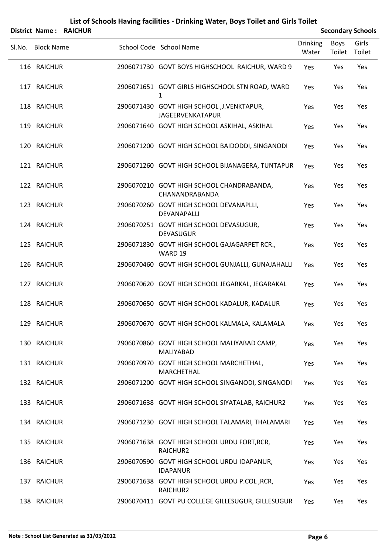|        | District Name: RAICHUR |                                                                        |                          |                | <b>Secondary Schools</b> |
|--------|------------------------|------------------------------------------------------------------------|--------------------------|----------------|--------------------------|
| SI.No. | <b>Block Name</b>      | School Code School Name                                                | <b>Drinking</b><br>Water | Boys<br>Toilet | Girls<br>Toilet          |
|        | 116 RAICHUR            | 2906071730 GOVT BOYS HIGHSCHOOL RAICHUR, WARD 9                        | Yes                      | Yes            | Yes                      |
|        | 117 RAICHUR            | 2906071651 GOVT GIRLS HIGHSCHOOL STN ROAD, WARD                        | Yes                      | Yes            | Yes                      |
|        | 118 RAICHUR            | 2906071430 GOVT HIGH SCHOOL , J. VENKTAPUR,<br><b>JAGEERVENKATAPUR</b> | Yes                      | Yes            | Yes                      |
|        | 119 RAICHUR            | 2906071640 GOVT HIGH SCHOOL ASKIHAL, ASKIHAL                           | Yes                      | Yes            | Yes                      |
|        | 120 RAICHUR            | 2906071200 GOVT HIGH SCHOOL BAIDODDI, SINGANODI                        | Yes                      | Yes            | Yes                      |
|        | 121 RAICHUR            | 2906071260 GOVT HIGH SCHOOL BIJANAGERA, TUNTAPUR                       | Yes                      | Yes            | Yes                      |
|        | 122 RAICHUR            | 2906070210 GOVT HIGH SCHOOL CHANDRABANDA,<br>CHANANDRABANDA            | Yes                      | Yes            | Yes                      |
|        | 123 RAICHUR            | 2906070260 GOVT HIGH SCHOOL DEVANAPLLI,<br>DEVANAPALLI                 | Yes                      | Yes            | Yes                      |
|        | 124 RAICHUR            | 2906070251 GOVT HIGH SCHOOL DEVASUGUR,<br><b>DEVASUGUR</b>             | Yes                      | Yes            | Yes                      |
|        | 125 RAICHUR            | 2906071830 GOVT HIGH SCHOOL GAJAGARPET RCR.,<br>WARD 19                | Yes                      | Yes            | Yes                      |
|        | 126 RAICHUR            | 2906070460 GOVT HIGH SCHOOL GUNJALLI, GUNAJAHALLI                      | Yes                      | Yes            | Yes                      |
|        | 127 RAICHUR            | 2906070620 GOVT HIGH SCHOOL JEGARKAL, JEGARAKAL                        | Yes                      | Yes            | Yes                      |
|        | 128 RAICHUR            | 2906070650 GOVT HIGH SCHOOL KADALUR, KADALUR                           | Yes                      | Yes            | Yes                      |
|        | 129 RAICHUR            | 2906070670 GOVT HIGH SCHOOL KALMALA, KALAMALA                          | Yes                      | Yes            | Yes                      |
|        | 130 RAICHUR            | 2906070860 GOVT HIGH SCHOOL MALIYABAD CAMP,<br>MALIYABAD               | Yes                      | Yes            | Yes                      |
|        | 131 RAICHUR            | 2906070970 GOVT HIGH SCHOOL MARCHETHAL,<br>MARCHETHAL                  | Yes                      | Yes            | Yes                      |
|        | 132 RAICHUR            | 2906071200 GOVT HIGH SCHOOL SINGANODI, SINGANODI                       | Yes                      | Yes            | Yes                      |
|        | 133 RAICHUR            | 2906071638 GOVT HIGH SCHOOL SIYATALAB, RAICHUR2                        | Yes                      | Yes            | Yes                      |
|        | 134 RAICHUR            | 2906071230 GOVT HIGH SCHOOL TALAMARI, THALAMARI                        | Yes                      | Yes            | Yes                      |
|        | 135 RAICHUR            | 2906071638 GOVT HIGH SCHOOL URDU FORT, RCR,<br>RAICHUR2                | Yes                      | Yes            | Yes                      |
|        | 136 RAICHUR            | 2906070590 GOVT HIGH SCHOOL URDU IDAPANUR,<br><b>IDAPANUR</b>          | Yes                      | Yes            | Yes                      |
|        | 137 RAICHUR            | 2906071638 GOVT HIGH SCHOOL URDU P.COL, RCR,<br>RAICHUR2               | Yes                      | Yes            | Yes                      |
|        | 138 RAICHUR            | 2906070411 GOVT PU COLLEGE GILLESUGUR, GILLESUGUR                      | Yes                      | Yes            | Yes                      |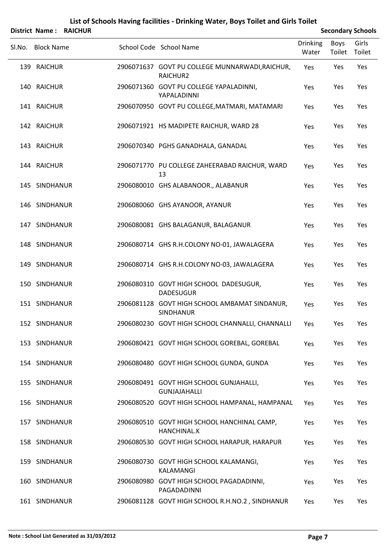|        | District Name: RAICHUR |                                                                   |                          |                | <b>Secondary Schools</b> |
|--------|------------------------|-------------------------------------------------------------------|--------------------------|----------------|--------------------------|
| SI.No. | <b>Block Name</b>      | School Code School Name                                           | <b>Drinking</b><br>Water | Boys<br>Toilet | Girls<br>Toilet          |
|        | 139 RAICHUR            | 2906071637 GOVT PU COLLEGE MUNNARWADI, RAICHUR,<br>RAICHUR2       | Yes                      | Yes            | Yes                      |
|        | 140 RAICHUR            | 2906071360 GOVT PU COLLEGE YAPALADINNI,<br>YAPALADINNI            | Yes                      | Yes            | Yes                      |
|        | 141 RAICHUR            | 2906070950 GOVT PU COLLEGE, MATMARI, MATAMARI                     | Yes                      | Yes            | Yes                      |
|        | 142 RAICHUR            | 2906071921 HS MADIPETE RAICHUR, WARD 28                           | Yes                      | Yes            | Yes                      |
|        | 143 RAICHUR            | 2906070340 PGHS GANADHALA, GANADAL                                | Yes                      | Yes            | Yes                      |
|        | 144 RAICHUR            | 2906071770 PU COLLEGE ZAHEERABAD RAICHUR, WARD<br>13              | Yes                      | Yes            | Yes                      |
|        | 145 SINDHANUR          | 2906080010 GHS ALABANOOR., ALABANUR                               | Yes                      | Yes            | Yes                      |
|        | 146 SINDHANUR          | 2906080060 GHS AYANOOR, AYANUR                                    | Yes                      | Yes            | Yes                      |
|        | 147 SINDHANUR          | 2906080081 GHS BALAGANUR, BALAGANUR                               | Yes                      | Yes            | Yes                      |
|        | 148 SINDHANUR          | 2906080714 GHS R.H.COLONY NO-01, JAWALAGERA                       | Yes                      | Yes            | Yes                      |
|        | 149 SINDHANUR          | 2906080714 GHS R.H.COLONY NO-03, JAWALAGERA                       | Yes                      | Yes            | Yes                      |
|        | 150 SINDHANUR          | 2906080310 GOVT HIGH SCHOOL DADESUGUR,<br><b>DADESUGUR</b>        | Yes                      | Yes            | Yes                      |
|        | 151 SINDHANUR          | 2906081128 GOVT HIGH SCHOOL AMBAMAT SINDANUR,<br><b>SINDHANUR</b> | Yes                      | Yes            | Yes                      |
|        | 152 SINDHANUR          | 2906080230 GOVT HIGH SCHOOL CHANNALLI, CHANNALLI Yes              |                          | Yes            | Yes                      |
|        | 153 SINDHANUR          | 2906080421 GOVT HIGH SCHOOL GOREBAL, GOREBAL                      | Yes                      | Yes            | Yes                      |
|        | 154 SINDHANUR          | 2906080480 GOVT HIGH SCHOOL GUNDA, GUNDA                          | Yes                      | Yes            | Yes                      |
|        | 155 SINDHANUR          | 2906080491 GOVT HIGH SCHOOL GUNJAHALLI,<br><b>GUNJAJAHALLI</b>    | Yes                      | Yes            | Yes                      |
|        | 156 SINDHANUR          | 2906080520 GOVT HIGH SCHOOL HAMPANAL, HAMPANAL                    | Yes                      | Yes            | Yes                      |
|        | 157 SINDHANUR          | 2906080510 GOVT HIGH SCHOOL HANCHINAL CAMP,<br>HANCHINAL.K        | Yes                      | Yes            | Yes                      |
|        | 158 SINDHANUR          | 2906080530 GOVT HIGH SCHOOL HARAPUR, HARAPUR                      | Yes                      | Yes            | Yes                      |
|        | 159 SINDHANUR          | 2906080730 GOVT HIGH SCHOOL KALAMANGI,<br>KALAMANGI               | Yes                      | Yes            | Yes                      |
|        | 160 SINDHANUR          | 2906080980 GOVT HIGH SCHOOL PAGADADINNI,<br>PAGADADINNI           | Yes                      | Yes            | Yes                      |
|        | 161 SINDHANUR          | 2906081128 GOVT HIGH SCHOOL R.H.NO.2, SINDHANUR                   | Yes                      | Yes            | Yes                      |